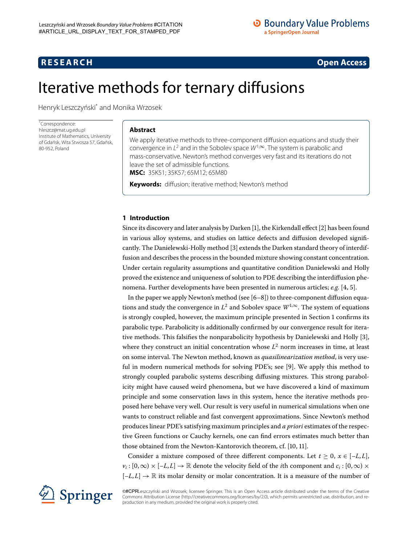# <span id="page-0-0"></span>**R E S E A R C H Open Access**

# Iterative methods for ternary diffusions

Henryk Leszczyński<sup>[\\*](#page-0-0)</sup> and Monika Wrzosek

\* Correspondence: [hleszcz@mat.ug.edu.pl](mailto:hleszcz@mat.ug.edu.pl) Institute of Mathematics, University of Gdańsk, Wita Stwosza 57, Gdańsk, 80-952, Poland

# **Abstract**

We apply iterative methods to three-component diffusion equations and study their convergence in  $L^2$  and in the Sobolev space  $W^{1,\infty}$ . The system is parabolic and mass-conservative. Newton's method converges very fast and its iterations do not leave the set of admissible functions.

**MSC:** 35K51; 35K57; 65M12; 65M80

**Keywords:** diffusion; iterative method; Newton's method

## **1 Introduction**

Since its discovery and later analysis by Darken  $[1]$  $[1]$ , the Kirkendall effect  $[2]$  has been found in various alloy systems, and studies on lattice defects and diffusion developed signifi-cantly. The Danielewski-Holly method [\[](#page-15-2)3] extends the Darken standard theory of interdiffusion and describes the process in the bounded mixture showing constant concentration. Under certain regularity assumptions and quantitative condition Danielewski and Holly proved the existence and uniqueness of solution to PDE describing the interdiffusion phenomena. Further developments have been presented in numerous articles; *e.g.* [4, 5[\]](#page-15-4).

In the paper we apply Newton's method (see  $[6-8]$ ) to three-component diffusion equations and study the convergence in  $L^2$  and Sobolev space  $W^{1,\infty}$ . The system of equations is strongly coupled, however, the maximum principle presented in Section 1 confirms its parabolic type. Parabolicity is additionally confirmed by our convergence result for iterative methods. This falsifies the nonparabolicity hypothesis by Danielewski and Holly [[\]](#page-15-2), where they construct an initial concentration whose  $L^2$  norm increases in time, at least on some interval. The Newton method, known as *quasilinearization method*, is very use-ful in modern numerical methods for solving PDE's; see [9[\]](#page-15-7). We apply this method to strongly coupled parabolic systems describing diffusing mixtures. This strong parabolicity might have caused weird phenomena, but we have discovered a kind of maximum principle and some conservation laws in this system, hence the iterative methods proposed here behave very well. Our result is very useful in numerical simulations when one wants to construct reliable and fast convergent approximations. Since Newton's method produces linear PDE's satisfying maximum principles and *a priori* estimates of the respective Green functions or Cauchy kernels, one can find errors estimates much better than those obtained from the Newton-Kantorovich theorem, cf. [10, 11[\]](#page-15-9).

Consider a mixture composed of three different components. Let  $t > 0$ ,  $x \in [-L, L]$ ,  $v_i$ :  $[0, \infty) \times [-L, L] \rightarrow \mathbb{R}$  denote the velocity field of the *i*th component and  $c_i$ :  $[0, \infty) \times$  $[-L, L] \rightarrow \mathbb{R}$  its molar density or molar concentration. It is a measure of the number of



©#CPRLeszczyński and Wrzosek; licensee Springer. This is an Open Access article distributed under the terms of the Creative Commons Attribution License (<http://creativecommons.org/licenses/by/2.0>), which permits unrestricted use, distribution, and reproduction in any medium, provided the original work is properly cited.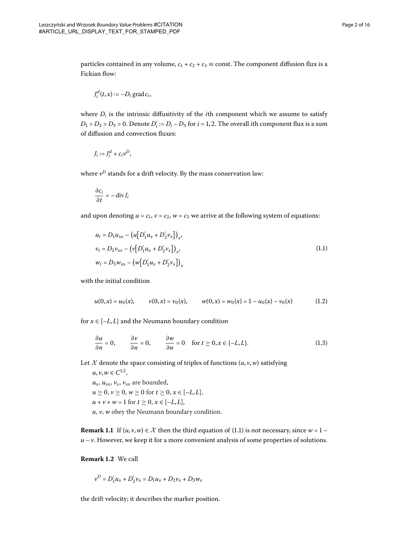particles contained in any volume,  $c_1 + c_2 + c_3 \equiv$  const. The component diffusion flux is a Fickian flow:

$$
J_i^d(t,x) := -D_i \operatorname{grad} c_i,
$$

where  $D_i$  is the intrinsic diffusitivity of the *i*th component which we assume to satisfy  $D_1 > D_2 > D_3 > 0$ . Denote  $D'_i := D_i - D_3$  for  $i = 1, 2$ . The overall *i*th component flux is a sum of diffusion and convection fluxes:

$$
J_i := J_i^d + c_i v^D,
$$

where  $v^D$  stands for a drift velocity. By the mass conservation law:

<span id="page-1-0"></span>
$$
\frac{\partial c_i}{\partial t} = -\operatorname{div} J_i
$$

and upon denoting  $u = c_1$ ,  $v = c_2$ ,  $w = c_3$  we arrive at the following system of equations:

<span id="page-1-1"></span>
$$
u_t = D_1 u_{xx} - (u [D'_1 u_x + D'_2 v_x])_x,
$$
  
\n
$$
v_t = D_2 v_{xx} - (v [D'_1 u_x + D'_2 v_x])_x,
$$
  
\n
$$
w_t = D_3 w_{xx} - (w [D'_1 u_x + D'_2 v_x])_x
$$
\n(1.1)

with the initial condition

<span id="page-1-2"></span>
$$
u(0,x) = u_0(x), \qquad v(0,x) = v_0(x), \qquad w(0,x) = w_0(x) = 1 - u_0(x) - v_0(x) \tag{1.2}
$$

for  $x \in [-L, L]$  and the Neumann boundary condition

$$
\frac{\partial u}{\partial n} = 0, \qquad \frac{\partial v}{\partial n} = 0, \qquad \frac{\partial w}{\partial n} = 0 \quad \text{for } t \ge 0, x \in \{-L, L\}.
$$
 (1.3)

Let  $X$  denote the space consisting of triples of functions  $(u, v, w)$  satisfying

 $u, v, w \in C^{1,2}$ ,  $u_x$ ,  $u_{xx}$ ,  $v_x$ ,  $v_{xx}$  are bounded,  $u \geq 0, v \geq 0, w \geq 0$  for  $t \geq 0, x \in [-L, L],$  $u + v + w = 1$  for  $t > 0$ ,  $x \in [-L, L]$ , *u*, *v*, *w* obey the Neumann boundary condition.

**Remark 1.1** If  $(u, v, w) \in \mathcal{X}$  then the third equation of (1.1) is not necessary, since  $w = 1$  $u - v$ . However, we keep it for a more convenient analysis of some properties of solutions.

**Remark 1.2** We call

$$
v^D = D_1'u_x + D_2'v_x = D_1u_x + D_2v_x + D_3w_x
$$

the drift velocity; it describes the marker position.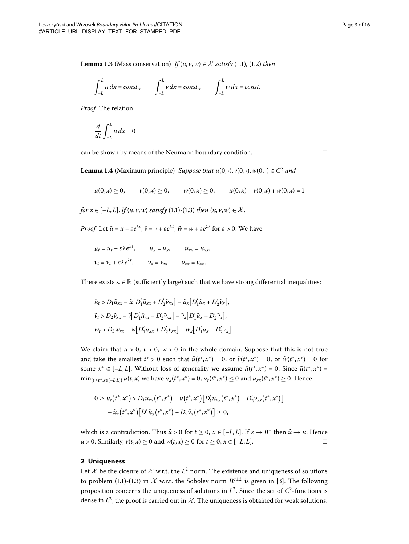$$
\int_{-L}^{L} u \, dx = \text{const.}, \qquad \int_{-L}^{L} v \, dx = \text{const.}, \qquad \int_{-L}^{L} w \, dx = \text{const.}
$$

*Proof* The relation

$$
\frac{d}{dt}\int_{-L}^{L}u\,dx=0
$$

can be shown by means of the Neumann boundary condition.  $\Box$ 

**Lemma 1.4** (Maximum principle) *Suppose that*  $u(0, \cdot), v(0, \cdot), w(0, \cdot) \in C^2$  *and* 

$$
u(0,x) \ge 0
$$
,  $v(0,x) \ge 0$ ,  $w(0,x) \ge 0$ ,  $u(0,x) + v(0,x) + w(0,x) = 1$ 

*for*  $x \in [-L, L]$ [.](#page-1-0) *If*  $(u, v, w)$  *satisfy*  $(1.1)$ - $(1.3)$  *then*  $(u, v, w) \in \mathcal{X}$ .

*Proof* Let  $\tilde{u} = u + \varepsilon e^{\lambda t}$ ,  $\tilde{v} = v + \varepsilon e^{\lambda t}$ ,  $\tilde{w} = w + \varepsilon e^{\lambda t}$  for  $\varepsilon > 0$ . We have

$$
\tilde{u}_t = u_t + \varepsilon \lambda e^{\lambda t}, \qquad \tilde{u}_x = u_x, \qquad \tilde{u}_{xx} = u_{xx},
$$
  

$$
\tilde{\nu}_t = v_t + \varepsilon \lambda e^{\lambda t}, \qquad \tilde{\nu}_x = \nu_x, \qquad \tilde{\nu}_{xx} = \nu_{xx}.
$$

There exists  $\lambda \in \mathbb{R}$  (sufficiently large) such that we have strong differential inequalities:

$$
\tilde{u}_t > D_1 \tilde{u}_{xx} - \tilde{u} \Big[ D_1' \tilde{u}_{xx} + D_2' \tilde{\nu}_{xx} \Big] - \tilde{u}_x \Big[ D_1' \tilde{u}_x + D_2' \tilde{\nu}_x \Big],
$$
  
\n
$$
\tilde{\nu}_t > D_2 \tilde{\nu}_{xx} - \tilde{\nu} \Big[ D_1' \tilde{u}_{xx} + D_2' \tilde{\nu}_{xx} \Big] - \tilde{\nu}_x \Big[ D_1' \tilde{u}_x + D_2' \tilde{\nu}_x \Big],
$$
  
\n
$$
\tilde{w}_t > D_3 \tilde{w}_{xx} - \tilde{w} \Big[ D_1' \tilde{u}_{xx} + D_2' \tilde{\nu}_{xx} \Big] - \tilde{w}_x \Big[ D_1' \tilde{u}_x + D_2' \tilde{\nu}_x \Big].
$$

We claim that  $\tilde{u} > 0$ ,  $\tilde{v} > 0$ ,  $\tilde{w} > 0$  in the whole domain. Suppose that this is not true and take the smallest  $t^* > 0$  such that  $\tilde{u}(t^*, x^*) = 0$ , or  $\tilde{v}(t^*, x^*) = 0$ , or  $\tilde{w}(t^*, x^*) = 0$  for some  $x^* \in [-L, L]$ . Without loss of generality we assume  $\tilde{u}(t^*, x^*) = 0$ . Since  $\tilde{u}(t^*, x^*) =$  $\min_{\{t \leq t^*, x \in [-L,L]\}} \tilde{u}(t,x)$  we have  $\tilde{u}_x(t^*, x^*) = 0$ ,  $\tilde{u}_t(t^*, x^*) \leq 0$  and  $\tilde{u}_{xx}(t^*, x^*) \geq 0$ . Hence

$$
0 \geq \tilde{u}_t(t^*, x^*) > D_1 \tilde{u}_{xx}(t^*, x^*) - \tilde{u}(t^*, x^*) [D'_1 \tilde{u}_{xx}(t^*, x^*) + D'_2 \tilde{v}_{xx}(t^*, x^*)]
$$
  

$$
- \tilde{u}_x(t^*, x^*) [D'_1 \tilde{u}_x(t^*, x^*) + D'_2 \tilde{v}_x(t^*, x^*)] \geq 0,
$$

which is a contradiction. Thus  $\tilde{u} > 0$  for  $t \ge 0$ ,  $x \in [-L, L]$ . If  $\varepsilon \to 0^+$  then  $\tilde{u} \to u$ . Hence *u* > 0. Similarly, *v*(*t*, *x*) ≥ 0 and *w*(*t*, *x*) ≥ 0 for *t* ≥ 0, *x* ∈ [–*L*, *L*].

### **2 Uniqueness**

Let  $\overline{\mathcal{X}}$  be the closure of  $\mathcal{X}$  w.r.t. the  $L^2$  norm. The existence and uniqueness of solutions to problem (1[.](#page-1-2)1)-(1.3) in  $\mathcal X$  w.r.t. the Sobolev norm  $W^{1,2}$  is given in [3[\]](#page-15-2). The following proposition concerns the uniqueness of solutions in  $L^2$ . Since the set of  $C^2$ -functions is dense in  $L^2$ , the proof is carried out in  $\mathcal X$ . The uniqueness is obtained for weak solutions.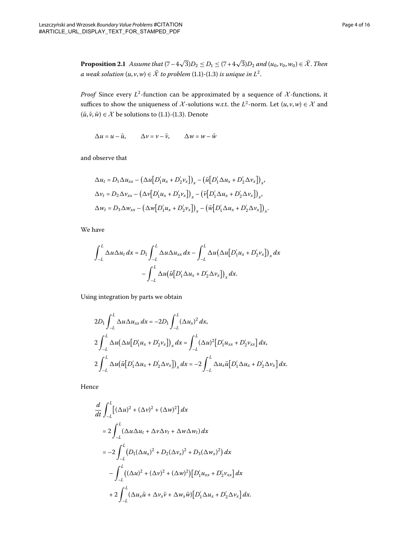**Proposition 2.1** Assume that  $(7-4\sqrt{3})D_2 \le D_1 \le (7+4\sqrt{3})D_2$  and  $(u_0, v_0, w_0) \in \overline{\mathcal{X}}$ . Then *a* weak solution  $(u, v, w) \in \overline{X}$  to problem (1[.](#page-1-0)1)-(1.3) is unique in  $L^2$ .

*Proof* Since every  $L^2$ -function can be approximated by a sequence of  $\mathcal{X}$ -functions, it suffices to show the uniqueness of  $\mathcal{X}$ -solutions w.r.t. the  $L^2$ -norm. Let  $(u, v, w) \in \mathcal{X}$  and  $(\bar{u}, \bar{v}, \bar{w}) \in \mathcal{X}$  be solutions to (1[.](#page-1-0)1)-(1.3). Denote

 $\Delta u = u - \bar{u}$ ,  $\Delta v = v - \bar{v}$ ,  $\Delta w = w - \bar{w}$ 

and observe that

$$
\Delta u_t = D_1 \Delta u_{xx} - \left(\Delta u \left[D'_1 u_x + D'_2 v_x\right]\right)_x - \left(\bar{u} \left[D'_1 \Delta u_x + D'_2 \Delta v_x\right]\right)_x,
$$
  

$$
\Delta v_t = D_2 \Delta v_{xx} - \left(\Delta v \left[D'_1 u_x + D'_2 v_x\right]\right)_x - \left(\bar{v} \left[D'_1 \Delta u_x + D'_2 \Delta v_x\right]\right)_x,
$$
  

$$
\Delta w_t = D_3 \Delta w_{xx} - \left(\Delta w \left[D'_1 u_x + D'_2 v_x\right]\right)_x - \left(\bar{w} \left[D'_1 \Delta u_x + D'_2 \Delta v_x\right]\right)_x.
$$

We have

$$
\int_{-L}^{L} \Delta u \Delta u_t dx = D_1 \int_{-L}^{L} \Delta u \Delta u_{xx} dx - \int_{-L}^{L} \Delta u (\Delta u [D'_1 u_x + D'_2 v_x])_x dx
$$

$$
- \int_{-L}^{L} \Delta u (\overline{u} [D'_1 \Delta u_x + D'_2 \Delta v_x])_x dx.
$$

Using integration by parts we obtain

$$
2D_1 \int_{-L}^{L} \Delta u \Delta u_{xx} dx = -2D_1 \int_{-L}^{L} (\Delta u_x)^2 dx,
$$
  
\n
$$
2\int_{-L}^{L} \Delta u (\Delta u [D'_1 u_x + D'_2 v_x])_x dx = \int_{-L}^{L} (\Delta u)^2 [D'_1 u_{xx} + D'_2 v_{xx}] dx,
$$
  
\n
$$
2\int_{-L}^{L} \Delta u (\bar{u} [D'_1 \Delta u_x + D'_2 \Delta v_x])_x dx = -2\int_{-L}^{L} \Delta u_x \bar{u} [D'_1 \Delta u_x + D'_2 \Delta v_x] dx.
$$

Hence

$$
\frac{d}{dt} \int_{-L}^{L} \left[ (\Delta u)^2 + (\Delta v)^2 + (\Delta w)^2 \right] dx
$$
\n
$$
= 2 \int_{-L}^{L} (\Delta u \Delta u_t + \Delta v \Delta v_t + \Delta w \Delta w_t) dx
$$
\n
$$
= -2 \int_{-L}^{L} (D_1 (\Delta u_x)^2 + D_2 (\Delta v_x)^2 + D_3 (\Delta w_x)^2) dx
$$
\n
$$
- \int_{-L}^{L} ((\Delta u)^2 + (\Delta v)^2 + (\Delta w)^2) [D'_1 u_{xx} + D'_2 v_{xx}] dx
$$
\n
$$
+ 2 \int_{-L}^{L} (\Delta u_x \bar{u} + \Delta v_x \bar{v} + \Delta w_x \bar{w}) [D'_1 \Delta u_x + D'_2 \Delta v_x] dx.
$$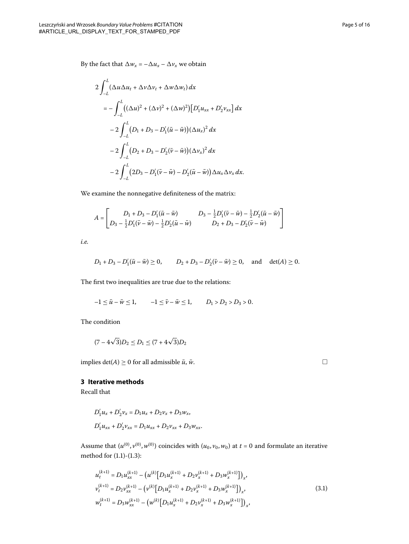By the fact that  $\Delta w_x = -\Delta u_x - \Delta v_x$  we obtain

$$
2\int_{-L}^{L} (\Delta u \Delta u_t + \Delta v \Delta v_t + \Delta w \Delta w_t) dx
$$
  
=  $-\int_{-L}^{L} ((\Delta u)^2 + (\Delta v)^2 + (\Delta w)^2) [D'_1 u_{xx} + D'_2 v_{xx}] dx$   
 $- 2\int_{-L}^{L} (D_1 + D_3 - D'_1 (\bar{u} - \bar{w})) (\Delta u_x)^2 dx$   
 $- 2\int_{-L}^{L} (D_2 + D_3 - D'_2 (\bar{v} - \bar{w})) (\Delta v_x)^2 dx$   
 $- 2\int_{-L}^{L} (2D_3 - D'_1 (\bar{v} - \bar{w}) - D'_2 (\bar{u} - \bar{w})) \Delta u_x \Delta v_x dx.$ 

We examine the nonnegative definiteness of the matrix:

$$
A = \begin{bmatrix} D_1 + D_3 - D_1'(\bar{u} - \bar{w}) & D_3 - \frac{1}{2}D_1'(\bar{v} - \bar{w}) - \frac{1}{2}D_2'(\bar{u} - \bar{w}) \\ D_3 - \frac{1}{2}D_1'(\bar{v} - \bar{w}) - \frac{1}{2}D_2'(\bar{u} - \bar{w}) & D_2 + D_3 - D_2'(\bar{v} - \bar{w}) \end{bmatrix}
$$

*i.e.*

$$
D_1 + D_3 - D'_1(\bar{u} - \bar{w}) \ge 0
$$
,  $D_2 + D_3 - D'_2(\bar{v} - \bar{w}) \ge 0$ , and  $det(A) \ge 0$ .

The first two inequalities are true due to the relations:

$$
-1 \leq \bar{u} - \bar{w} \leq 1, \qquad -1 \leq \bar{v} - \bar{w} \leq 1, \qquad D_1 > D_2 > D_3 > 0.
$$

The condition

$$
(7-4\sqrt{3})D_2 \le D_1 \le (7+4\sqrt{3})D_2
$$

implies  $det(A) \ge 0$  for all admissible  $\bar{u}$ ,  $\bar{w}$ .

# **3 Iterative methods**

Recall that

$$
D'_1 u_x + D'_2 v_x = D_1 u_x + D_2 v_x + D_3 w_x,
$$
  

$$
D'_1 u_{xx} + D'_2 v_{xx} = D_1 u_{xx} + D_2 v_{xx} + D_3 w_{xx}.
$$

Assume that  $(u^{(0)}, v^{(0)}, w^{(0)})$  coincides with  $(u_0, v_0, w_0)$  at  $t = 0$  and formulate an iterative method for  $(1.1)-(1.3)$  $(1.1)-(1.3)$  $(1.1)-(1.3)$ :

$$
u_t^{(k+1)} = D_1 u_{xx}^{(k+1)} - (u^{(k)} [D_1 u_x^{(k+1)} + D_2 v_x^{(k+1)} + D_3 w_x^{(k+1)}])_x,
$$
  
\n
$$
v_t^{(k+1)} = D_2 v_{xx}^{(k+1)} - (v^{(k)} [D_1 u_x^{(k+1)} + D_2 v_x^{(k+1)} + D_3 w_x^{(k+1)}])_x,
$$
  
\n
$$
w_t^{(k+1)} = D_3 w_{xx}^{(k+1)} - (w^{(k)} [D_1 u_x^{(k+1)} + D_2 v_x^{(k+1)} + D_3 w_x^{(k+1)}])_x,
$$
\n(3.1)

<span id="page-4-0"></span> $\Box$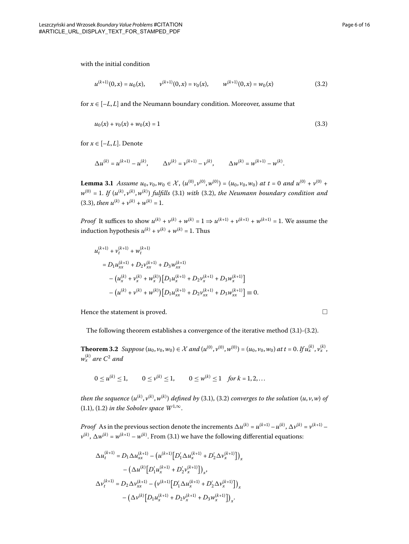$\Box$ 

with the initial condition

<span id="page-5-1"></span><span id="page-5-0"></span>
$$
u^{(k+1)}(0,x) = u_0(x), \qquad v^{(k+1)}(0,x) = v_0(x), \qquad w^{(k+1)}(0,x) = w_0(x) \tag{3.2}
$$

<span id="page-5-2"></span>for  $x \in [-L, L]$  and the Neumann boundary condition. Moreover, assume that

$$
u_0(x) + v_0(x) + w_0(x) = 1
$$
\n(3.3)

for  $x \in [-L, L]$ . Denote

$$
\Delta u^{(k)} = u^{(k+1)} - u^{(k)}, \qquad \Delta v^{(k)} = v^{(k+1)} - v^{(k)}, \qquad \Delta w^{(k)} = w^{(k+1)} - w^{(k)}.
$$

**Lemma 3.1** Assume  $u_0$ ,  $v_0$ ,  $w_0 \in \mathcal{X}$ ,  $(u^{(0)}, v^{(0)}, w^{(0)}) = (u_0, v_0, w_0)$  at  $t = 0$  and  $u^{(0)} + v^{(0)} + v^{(0)}$  $w^{(0)} = 1$ . If  $(u^{(k)}, v^{(k)}, w^{(k)})$  fulfills (3.1) with (3.2), the Neumann boundary condition and  $(3.3)$ , *then*  $u^{(k)} + v^{(k)} + w^{(k)} = 1$ .

*Proof* It suffices to show  $u^{(k)} + v^{(k)} + w^{(k)} = 1 \Rightarrow u^{(k+1)} + v^{(k+1)} + w^{(k+1)} = 1$ . We assume the induction hypothesis  $u^{(k)} + v^{(k)} + w^{(k)} = 1$ . Thus

$$
u_t^{(k+1)} + v_t^{(k+1)} + w_t^{(k+1)}
$$
  
=  $D_1 u_{xx}^{(k+1)} + D_2 v_{xx}^{(k+1)} + D_3 w_{xx}^{(k+1)}$   

$$
- (u_x^{(k)} + v_x^{(k)} + w_x^{(k)}) [D_1 u_x^{(k+1)} + D_2 v_x^{(k+1)} + D_3 w_x^{(k+1)}]
$$
  

$$
- (u^{(k)} + v^{(k)} + w^{(k)}) [D_1 u_{xx}^{(k+1)} + D_2 v_{xx}^{(k+1)} + D_3 w_{xx}^{(k+1)}] \equiv 0.
$$

Hence the statement is proved.

The following theorem establishes a convergence of the iterative method  $(3.1)$ - $(3.2)$ .

**Theorem 3.2** Suppose  $(u_0, v_0, w_0) \in \mathcal{X}$  and  $(u^{(0)}, v^{(0)}, w^{(0)}) = (u_0, v_0, w_0)$  at  $t = 0$ . If  $u_x^{(k)}, v_x^{(k)}$ ,  $w_x^{(k)}$  are  $C^2$  and

 $0 \le u^{(k)} \le 1,$   $0 \le v^{(k)} \le 1,$   $0 \le w^{(k)} \le 1$  for  $k = 1, 2, ...$ 

then the sequence  $(u^{(k)}, v^{(k)}, w^{(k)})$  defined by (3.1), (3.2) converges to the solution  $(u, v, w)$  of (1[.](#page-1-0)1), (1.2) *in the Sobolev space*  $W^{1,\infty}$ .

*Proof* As in the previous section denote the increments  $\Delta u^{(k)} = u^{(k+1)} - u^{(k)}$ ,  $\Delta v^{(k)} = v^{(k+1)} - v^{(k)}$  $v^{(k)}$ ,  $\Delta w^{(k)} = w^{(k+1)} - w^{(k)}$ [.](#page-4-0) From (3.1) we have the following differential equations:

$$
\begin{aligned} \Delta u_t^{(k+1)} &= D_1 \Delta u_{xx}^{(k+1)} - \left(u^{(k+1)} \big[ D_1' \Delta u_x^{(k+1)} + D_2' \Delta v_x^{(k+1)} \big] \right)_x \\ &- \left( \Delta u^{(k)} \big[ D_1' u_x^{(k+1)} + D_2' v_x^{(k+1)} \big] \right)_x, \\ \Delta v_t^{(k+1)} &= D_2 \Delta v_{xx}^{(k+1)} - \left( v^{(k+1)} \big[ D_1' \Delta u_x^{(k+1)} + D_2' \Delta v_x^{(k+1)} \big] \right)_x \\ &- \left( \Delta v^{(k)} \big[ D_1 u_x^{(k+1)} + D_2 v_x^{(k+1)} + D_3 w_x^{(k+1)} \big] \right)_x. \end{aligned}
$$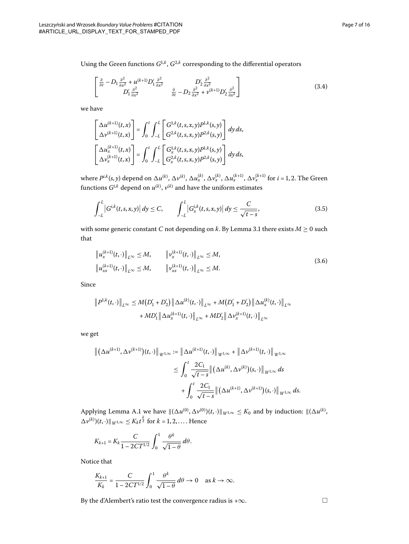Using the Green functions  $G^{1,k}$ ,  $G^{2,k}$  corresponding to the differential operators

$$
\begin{bmatrix}\n\frac{\partial}{\partial t} - D_1 \frac{\partial^2}{\partial x^2} + u^{(k+1)} D_1' \frac{\partial^2}{\partial x^2} & D_2' \frac{\partial^2}{\partial x^2} \\
D_1' \frac{\partial^2}{\partial x^2} & \frac{\partial}{\partial t} - D_2 \frac{\partial^2}{\partial x^2} + v^{(k+1)} D_2' \frac{\partial^2}{\partial x^2}\n\end{bmatrix}
$$
\n(3.4)

we have

<span id="page-6-0"></span>
$$
\begin{bmatrix}\n\Delta u^{(k+1)}(t,x) \\
\Delta v^{(k+1)}(t,x)\n\end{bmatrix} = \int_0^t \int_{-L}^L \begin{bmatrix}\nG^{1,k}(t,s,x,y)P^{1,k}(s,y) \\
G^{2,k}(t,s,x,y)P^{2,k}(s,y)\n\end{bmatrix} dy ds,
$$
\n
$$
\begin{bmatrix}\n\Delta u_x^{(k+1)}(t,x) \\
\Delta v_x^{(k+1)}(t,x)\n\end{bmatrix} = \int_0^t \int_{-L}^L \begin{bmatrix}\nG_x^{1,k}(t,s,x,y)P^{1,k}(s,y) \\
G_x^{2,k}(t,s,x,y)P^{2,k}(s,y)\n\end{bmatrix} dy ds,
$$

where  $P^{i,k}(s,y)$  depend on  $\Delta u^{(k)},\,\Delta \nu^{(k)},\,\Delta u^{(k)}_x,\,\Delta \nu^{(k)}_x,\,\Delta u^{(k+1)}_x,\,\Delta \nu^{(k+1)}_x$  for  $i$  = 1, 2. The Green functions  $G^{i,k}$  depend on  $u^{(k)},$   $v^{(k)}$  and have the uniform estimates

<span id="page-6-1"></span>
$$
\int_{-L}^{L} |G^{i,k}(t,s,x,y)| dy \le C, \qquad \int_{-L}^{L} |G^{i,k}(t,s,x,y)| dy \le \frac{C}{\sqrt{t-s}}, \tag{3.5}
$$

with some generic constant *C* not depending on *k*[.](#page-5-2) By Lemma 3.1 there exists  $M \ge 0$  such that

$$
\|u_x^{(k+1)}(t, \cdot)\|_{L^{\infty}} \le M, \qquad \|v_x^{(k+1)}(t, \cdot)\|_{L^{\infty}} \le M, \|u_{xx}^{(k+1)}(t, \cdot)\|_{L^{\infty}} \le M, \qquad \|v_{xx}^{(k+1)}(t, \cdot)\|_{L^{\infty}} \le M.
$$
\n(3.6)

Since

$$
\|P^{1,k}(t,\cdot)\|_{L^{\infty}} \leq M(D'_1 + D'_2) \|\Delta u^{(k)}(t,\cdot)\|_{L^{\infty}} + M(D'_1 + D'_2) \|\Delta u^{(k)}_x(t,\cdot)\|_{L^{\infty}}
$$

$$
+ M D'_1 \|\Delta u^{(k+1)}_x(t,\cdot)\|_{L^{\infty}} + M D'_2 \|\Delta v^{(k+1)}_x(t,\cdot)\|_{L^{\infty}}
$$

we get

$$
\begin{split} \left\| \left( \Delta u^{(k+1)}, \Delta v^{(k+1)} \right) (t, \cdot) \right\|_{W^{1,\infty}} &:= \left\| \Delta u^{(k+1)}(t, \cdot) \right\|_{W^{1,\infty}} + \left\| \Delta v^{(k+1)}(t, \cdot) \right\|_{W^{1,\infty}} \\ &\leq \int_0^t \frac{2C_1}{\sqrt{t-s}} \left\| \left( \Delta u^{(k)}, \Delta v^{(k)} \right) (s, \cdot) \right\|_{W^{1,\infty}} ds \\ &\quad + \int_0^t \frac{2C_1}{\sqrt{t-s}} \left\| \left( \Delta u^{(k+1)}, \Delta v^{(k+1)} \right) (s, \cdot) \right\|_{W^{1,\infty}} ds. \end{split}
$$

Applying Lemma [A.](#page-13-0)1 we have  $\|(\Delta u^{(0)}, \Delta v^{(0)})(t, \cdot)\|_{W^{1,\infty}} \leq K_0$  and by induction:  $\|(\Delta u^{(k)},$  $\Delta v^{(k)}$ )(*t*, ⋅) || <sub>*W*<sup>1,∞</sup> ≤ *K*<sub>k</sub> *t*<sup> $\frac{k}{2}$ </sub> for *k* = 1, 2, ... . Hence</sub></sup>

$$
K_{k+1} = K_k \frac{C}{1 - 2CT^{1/2}} \int_0^1 \frac{\theta^k}{\sqrt{1 - \theta}} d\theta.
$$

Notice that

$$
\frac{K_{k+1}}{K_k} = \frac{C}{1 - 2CT^{1/2}} \int_0^1 \frac{\theta^k}{\sqrt{1 - \theta}} d\theta \to 0 \quad \text{as } k \to \infty.
$$

By the d'Alembert's ratio test the convergence radius is + $\infty$ .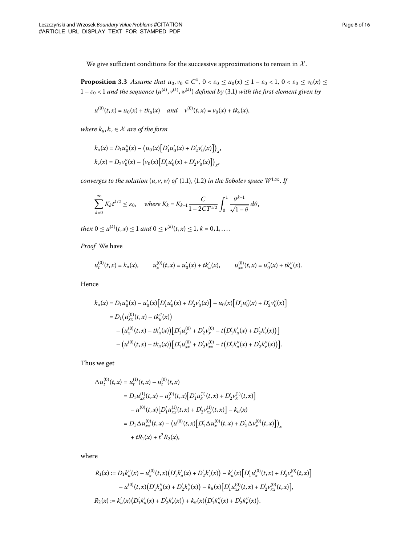<span id="page-7-0"></span>We give sufficient conditions for the successive approximations to remain in  $X$ .

**Proposition 3.3** Assume that  $u_0, v_0 \in C^4$ ,  $0 < \varepsilon_0 \le u_0(x) \le 1 - \varepsilon_0 < 1$ ,  $0 < \varepsilon_0 \le v_0(x) \le$  $1-\varepsilon_0 < 1$  and the sequence  $(u^{(k)}, v^{(k)}, w^{(k)})$  defined by (3.1) with the first element given by

$$
u^{(0)}(t,x) = u_0(x) + tk_u(x) \quad and \quad v^{(0)}(t,x) = v_0(x) + tk_v(x),
$$

*where*  $k_u, k_v \in \mathcal{X}$  *are of the form* 

$$
k_u(x) = D_1 u''_0(x) - (u_0(x)[D'_1 u'_0(x) + D'_2 v'_0(x)]_x,
$$
  

$$
k_v(x) = D_2 v''_0(x) - (v_0(x)[D'_1 u'_0(x) + D'_2 v'_0(x)]_x,
$$

*converges to the solution*  $(u, v, w)$  *of*  $(1.1)$  $(1.1)$  $(1.1)$ ,  $(1.2)$  *in the Sobolev space*  $W^{1, \infty}$ *. If* 

$$
\sum_{k=0}^{\infty} K_k t^{k/2} \le \varepsilon_0, \quad \text{where } K_k = K_{k-1} \frac{C}{1 - 2CT^{1/2}} \int_0^1 \frac{\theta^{k-1}}{\sqrt{1 - \theta}} d\theta,
$$

 $then 0 \leq u^{(k)}(t,x) \leq 1 \ and \ 0 \leq v^{(k)}(t,x) \leq 1, k = 0, 1, \ldots.$ 

*Proof* We have

$$
u_t^{(0)}(t,x) = k_u(x), \qquad u_x^{(0)}(t,x) = u'_0(x) + tk'_u(x), \qquad u_{xx}^{(0)}(t,x) = u''_0(x) + tk''_u(x).
$$

Hence

$$
k_u(x) = D_1 u_0''(x) - u_0'(x) [D'_1 u_0'(x) + D'_2 v_0'(x)] - u_0(x) [D'_1 u_0''(x) + D'_2 v_0''(x)]
$$
  
= 
$$
D_1 (u_{xx}^{(0)}(t,x) - tk_u'(x))
$$
  

$$
- (u_x^{(0)}(t,x) - tk_u'(x)) [D'_1 u_x^{(0)} + D'_2 v_x^{(0)} - t (D'_1 k'_u(x) + D'_2 k'_v(x))]
$$
  

$$
- (u^{(0)}(t,x) - tk_u(x)) [D'_1 u_{xx}^{(0)} + D'_2 v_{xx}^{(0)} - t (D'_1 k_u''(x) + D'_2 k_v''(x))].
$$

Thus we get

$$
\Delta u_t^{(0)}(t,x) = u_t^{(1)}(t,x) - u_t^{(0)}(t,x)
$$
  
\n
$$
= D_1 u_{xx}^{(1)}(t,x) - u_x^{(0)}(t,x) [D'_1 u_x^{(1)}(t,x) + D'_2 v_x^{(1)}(t,x)]
$$
  
\n
$$
- u^{(0)}(t,x) [D'_1 u_{xx}^{(1)}(t,x) + D'_2 v_{xx}^{(1)}(t,x)] - k_u(x)
$$
  
\n
$$
= D_1 \Delta u_{xx}^{(0)}(t,x) - (u^{(0)}(t,x) [D'_1 \Delta u_x^{(0)}(t,x) + D'_2 \Delta v_x^{(0)}(t,x)]_x
$$
  
\n
$$
+ tR_1(x) + t^2 R_2(x),
$$

where

$$
R_1(x) := D_1 k''_u(x) - u_x^{(0)}(t, x) (D'_1 k'_u(x) + D'_2 k'_v(x)) - k'_u(x) [D'_1 u_x^{(0)}(t, x) + D'_2 v_x^{(0)}(t, x)]
$$
  

$$
- u^{(0)}(t, x) (D'_1 k''_u(x) + D'_2 k''_v(x)) - k_u(x) [D'_1 u_{xx}^{(0)}(t, x) + D'_2 v_{xx}^{(0)}(t, x)],
$$
  

$$
R_2(x) := k'_u(x) (D'_1 k'_u(x) + D'_2 k'_v(x)) + k_u(x) (D'_1 k''_u(x) + D'_2 k''_v(x)).
$$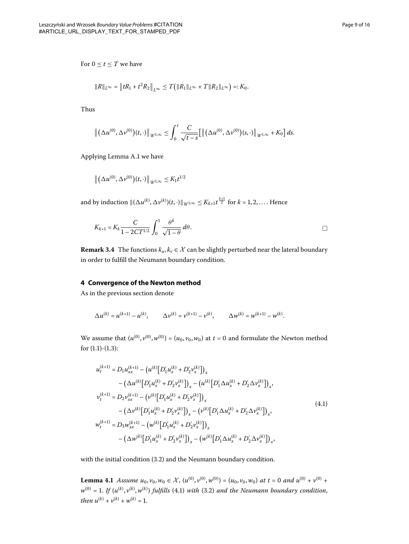$$
||R||_{L^{\infty}} = ||tR_1 + t^2 R_2||_{L^{\infty}} \leq T(|R_1||_{L^{\infty}} + T||R_2||_{L^{\infty}}) =: K_0.
$$

Thus

$$
\left\| \left( \Delta u^{(0)}, \Delta v^{(0)} \right) (t, \cdot) \right\|_{W^{1,\infty}} \leq \int_0^t \frac{C}{\sqrt{t-s}} \Big[ \left\| \left( \Delta u^{(0)}, \Delta v^{(0)} \right) (s, \cdot) \right\|_{W^{1,\infty}} + K_0 \Big] ds.
$$

Applying Lemma [A.](#page-13-0)1 we have

$$
\left\| \big(\Delta u^{(0)}, \Delta \nu^{(0)}\big)(t, \cdot)\right\|_{W^{1,\infty}} \leq K_1 t^{1/2}
$$

and by induction  $\|(\Delta u^{(k)}, \Delta v^{(k)})(t, \cdot)\|_{W^{1,\infty}} \leq K_{k+1} t^{\frac{k+1}{2}}$  for  $k = 1, 2, ...$ . Hence

$$
K_{k+1} = K_k \frac{C}{1 - 2CT^{1/2}} \int_0^1 \frac{\theta^k}{\sqrt{1 - \theta}} d\theta.
$$

**Remark 3.4** The functions  $k_u, k_v \in \mathcal{X}$  can be slightly perturbed near the lateral boundary in order to fulfill the Neumann boundary condition.

### **4 Convergence of the Newton method**

As in the previous section denote

$$
\Delta u^{(k)} = u^{(k+1)} - u^{(k)}, \qquad \Delta \nu^{(k)} = \nu^{(k+1)} - \nu^{(k)}, \qquad \Delta w^{(k)} = w^{(k+1)} - w^{(k)}.
$$

We assume that  $(u^{(0)}, v^{(0)}, w^{(0)}) = (u_0, v_0, w_0)$  at  $t = 0$  and formulate the Newton method for  $(1.1)-(1.3)$  $(1.1)-(1.3)$  $(1.1)-(1.3)$ :

<span id="page-8-0"></span>
$$
u_t^{(k+1)} = D_1 u_{xx}^{(k+1)} - (u^{(k)} [D'_1 u_x^{(k)} + D'_2 v_x^{(k)}])_x
$$
  
\n
$$
- (\Delta u^{(k)} [D'_1 u_x^{(k)} + D'_2 v_x^{(k)}])_x - (u^{(k)} [D'_1 \Delta u_x^{(k)} + D'_2 \Delta v_x^{(k)}])_x,
$$
  
\n
$$
v_t^{(k+1)} = D_2 v_{xx}^{(k+1)} - (v^{(k)} [D'_1 u_x^{(k)} + D'_2 v_x^{(k)}])_x
$$
  
\n
$$
- (\Delta v^{(k)} [D'_1 u_x^{(k)} + D'_2 v_x^{(k)}])_x - (v^{(k)} [D'_1 \Delta u_x^{(k)} + D'_2 \Delta v_x^{(k)}])_x,
$$
  
\n
$$
w_t^{(k+1)} = D_3 w_{xx}^{(k+1)} - (w^{(k)} [D'_1 u_x^{(k)} + D'_2 v_x^{(k)}])_x
$$
  
\n
$$
- (\Delta w^{(k)} [D'_1 u_x^{(k)} + D'_2 v_x^{(k)}])_x - (w^{(k)} [D'_1 \Delta u_x^{(k)} + D'_2 \Delta v_x^{(k)}])_x,
$$
  
\n(4.1)

with the initial condition  $(3.2)$  $(3.2)$  $(3.2)$  and the Neumann boundary condition.

**Lemma 4.1** Assume  $u_0$ ,  $v_0$ ,  $w_0 \in \mathcal{X}$ ,  $(u^{(0)}, v^{(0)}, w^{(0)}) = (u_0, v_0, w_0)$  at  $t = 0$  and  $u^{(0)} + v^{(0)} + v^{(0)}$  $w^{(0)} = 1$ [.](#page-5-0) If  $(u^{(k)}, v^{(k)}, w^{(k)})$  fulfills (4.1) with (3.2) and the Neumann boundary condition, *then*  $u^{(k)} + v^{(k)} + w^{(k)} = 1$ .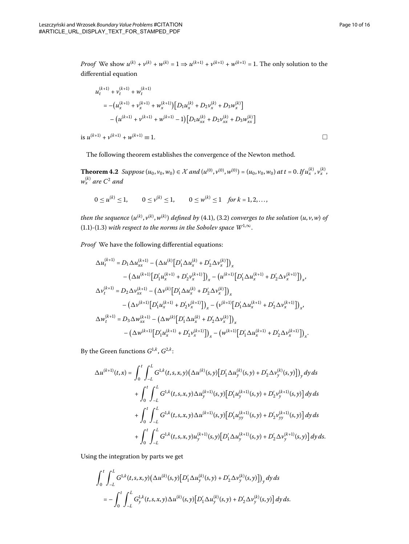*Proof* We show  $u^{(k)} + v^{(k)} + w^{(k)} = 1 \Rightarrow u^{(k+1)} + v^{(k+1)} + w^{(k+1)} = 1$ . The only solution to the differential equation

$$
u_t^{(k+1)} + v_t^{(k+1)} + w_t^{(k+1)}
$$
  
=  $-(u_x^{(k+1)} + v_x^{(k+1)} + w_x^{(k+1)}) [D_1 u_x^{(k)} + D_2 v_x^{(k)} + D_3 w_x^{(k)}]$   
 $-(u^{(k+1)} + v^{(k+1)} + w^{(k+1)} - 1) [D_1 u_{xx}^{(k)} + D_2 v_{xx}^{(k)} + D_3 w_{xx}^{(k)}]$ 

is  $u^{(k+1)} + v^{(k+1)} + w^{(k+1)} \equiv 1$ .

 $\Box$ 

The following theorem establishes the convergence of the Newton method.

**Theorem 4.2** Suppose  $(u_0, v_0, w_0) \in \mathcal{X}$  and  $(u^{(0)}, v^{(0)}, w^{(0)}) = (u_0, v_0, w_0)$  at  $t = 0$ . If  $u_x^{(k)}, v_x^{(k)}$ ,  $w_x^{(k)}$  are  $C^2$  and

$$
0 \le u^{(k)} \le 1, \qquad 0 \le v^{(k)} \le 1, \qquad 0 \le w^{(k)} \le 1 \quad \text{for } k = 1, 2, \ldots,
$$

then the sequence  $(u^{(k)}, v^{(k)}, w^{(k)})$  defined by (4.1), (3.2) converges to the solution  $(u, v, w)$  of (1[.](#page-1-0)1)-(1.3) with respect to the norms in the Sobolev space  $W^{1,\infty}$ .

*Proof* We have the following differential equations:

$$
\Delta u_t^{(k+1)} = D_1 \Delta u_{xx}^{(k+1)} - (\Delta u^{(k)} [D'_1 \Delta u_x^{(k)} + D'_2 \Delta v_x^{(k)}])_x \n- (\Delta u^{(k+1)} [D'_1 u_x^{(k+1)} + D'_2 v_x^{(k+1)}])_x - (u^{(k+1)} [D'_1 \Delta u_x^{(k+1)} + D'_2 \Delta v_x^{(k+1)}])_x, \n\Delta v_t^{(k+1)} = D_2 \Delta v_{xx}^{(k+1)} - (\Delta v^{(k)} [D'_1 \Delta u_x^{(k)} + D'_2 \Delta v_x^{(k)}])_x \n- (\Delta v^{(k+1)} [D'_1 u_x^{(k+1)} + D'_2 v_x^{(k+1)}])_x - (v^{(k+1)} [D'_1 \Delta u_x^{(k+1)} + D'_2 \Delta v_x^{(k+1)}])_x, \n\Delta w_t^{(k+1)} = D_3 \Delta w_{xx}^{(k+1)} - (\Delta w^{(k)} [D'_1 \Delta u_x^{(k)} + D'_2 \Delta v_x^{(k)}])_x \n- (\Delta w^{(k+1)} [D'_1 u_x^{(k+1)} + D'_2 v_x^{(k+1)}])_x - (w^{(k+1)} [D'_1 \Delta u_x^{(k+1)} + D'_2 \Delta v_x^{(k+1)}])_x.
$$

By the Green functions  $G^{1,k}$ ,  $G^{2,k}$ :

$$
\Delta u^{(k+1)}(t,x) = \int_0^t \int_{-L}^L G^{\frac{1}{2},k}(t,s,x,y) \left(\Delta u^{(k)}(s,y) \left[D'_1 \Delta u^{(k)}_y(s,y) + D'_2 \Delta v^{(k)}_y(s,y)\right]\right)_y dy ds + \int_0^t \int_{-L}^L G^{\frac{1}{2},k}(t,s,x,y) \Delta u^{(k+1)}_y(s,y) \left[D'_1 u^{(k+1)}_y(s,y) + D'_2 v^{(k+1)}_y(s,y)\right] dy ds + \int_0^t \int_{-L}^L G^{\frac{1}{2},k}(t,s,x,y) \Delta u^{(k+1)}(s,y) \left[D'_1 u^{(k+1)}_{yy}(s,y) + D'_2 v^{(k+1)}_{yy}(s,y)\right] dy ds + \int_0^t \int_{-L}^L G^{\frac{1}{2},k}(t,s,x,y) u^{(k+1)}_y(s,y) \left[D'_1 \Delta u^{(k+1)}_y(s,y) + D'_2 \Delta v^{(k+1)}_y(s,y)\right] dy ds.
$$

Using the integration by parts we get

$$
\int_0^t \int_{-L}^L G^{1,k}(t,s,x,y) \big( \Delta u^{(k)}(s,y) \big[ D_1' \Delta u_y^{(k)}(s,y) + D_2' \Delta v_y^{(k)}(s,y) \big] \big)_y \, dy \, ds
$$
  
= 
$$
- \int_0^t \int_{-L}^L G_y^{1,k}(t,s,x,y) \Delta u^{(k)}(s,y) \big[ D_1' \Delta u_y^{(k)}(s,y) + D_2' \Delta v_y^{(k)}(s,y) \big] \, dy \, ds.
$$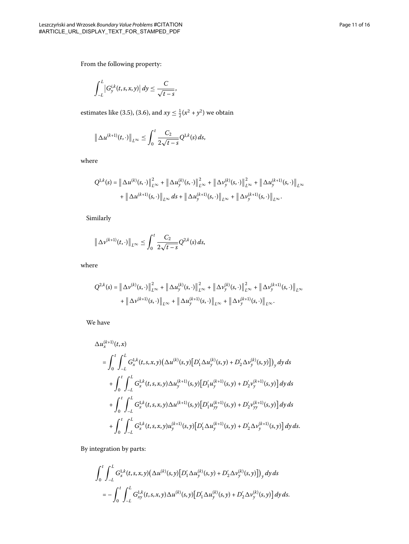From the following property:

$$
\int_{-L}^{L} \left| G_y^{i,k}(t,s,x,y) \right| dy \leq \frac{C}{\sqrt{t-s}},
$$

estimates like (3[.](#page-6-1)5), (3.6), and  $xy \leq \frac{1}{2}(x^2 + y^2)$  we obtain

$$
\|\Delta u^{(k+1)}(t,\cdot)\|_{L^{\infty}} \leq \int_0^t \frac{C_2}{2\sqrt{t-s}} Q^{1,k}(s) ds,
$$

where

$$
Q^{1,k}(s) = \left\| \Delta u^{(k)}(s, \cdot) \right\|_{L^{\infty}}^2 + \left\| \Delta u_y^{(k)}(s, \cdot) \right\|_{L^{\infty}}^2 + \left\| \Delta v_y^{(k)}(s, \cdot) \right\|_{L^{\infty}}^2 + \left\| \Delta u_y^{(k+1)}(s, \cdot) \right\|_{L^{\infty}} + \left\| \Delta u^{(k+1)}(s, \cdot) \right\|_{L^{\infty}} d s + \left\| \Delta u_y^{(k+1)}(s, \cdot) \right\|_{L^{\infty}} + \left\| \Delta v_y^{(k+1)}(s, \cdot) \right\|_{L^{\infty}}.
$$

Similarly

$$
\left\|\Delta\nu^{(k+1)}(t,\cdot)\right\|_{L^{\infty}} \leq \int_0^t \frac{C_2}{2\sqrt{t-s}} Q^{2,k}(s) \, ds,
$$

where

$$
Q^{2,k}(s) = \left\| \Delta \nu^{(k)}(s, \cdot) \right\|_{L^{\infty}}^{2} + \left\| \Delta u_{y}^{(k)}(s, \cdot) \right\|_{L^{\infty}}^{2} + \left\| \Delta \nu_{y}^{(k)}(s, \cdot) \right\|_{L^{\infty}}^{2} + \left\| \Delta \nu_{y}^{(k+1)}(s, \cdot) \right\|_{L^{\infty}} + \left\| \Delta \nu_{y}^{(k+1)}(s, \cdot) \right\|_{L^{\infty}} + \left\| \Delta \nu_{y}^{(k+1)}(s, \cdot) \right\|_{L^{\infty}}.
$$

We have

$$
\Delta u_x^{(k+1)}(t,x)
$$
\n
$$
= \int_0^t \int_{-L}^L G_x^{1,k}(t,s,x,y) \left( \Delta u^{(k)}(s,y) \left[ D_1' \Delta u_y^{(k)}(s,y) + D_2' \Delta v_y^{(k)}(s,y) \right] \right)_y dy ds
$$
\n
$$
+ \int_0^t \int_{-L}^L G_x^{1,k}(t,s,x,y) \Delta u_y^{(k+1)}(s,y) \left[ D_1' u_y^{(k+1)}(s,y) + D_2' v_y^{(k+1)}(s,y) \right] dy ds
$$
\n
$$
+ \int_0^t \int_{-L}^L G_x^{1,k}(t,s,x,y) \Delta u^{(k+1)}(s,y) \left[ D_1' u_{yy}^{(k+1)}(s,y) + D_2' v_{yy}^{(k+1)}(s,y) \right] dy ds
$$
\n
$$
+ \int_0^t \int_{-L}^L G_x^{1,k}(t,s,x,y) u_y^{(k+1)}(s,y) \left[ D_1' \Delta u_y^{(k+1)}(s,y) + D_2' \Delta v_y^{(k+1)}(s,y) \right] dy ds.
$$

By integration by parts:

$$
\int_0^t \int_{-L}^L G_x^{1,k}(t,s,x,y) \big(\Delta u^{(k)}(s,y) \big[D_1' \Delta u_y^{(k)}(s,y) + D_2' \Delta v_y^{(k)}(s,y)\big]\big)_y \,dy\,ds
$$
  
= 
$$
- \int_0^t \int_{-L}^L G_{xy}^{1,k}(t,s,x,y) \Delta u^{(k)}(s,y) \big[D_1' \Delta u_y^{(k)}(s,y) + D_2' \Delta v_y^{(k)}(s,y)\big] \,dy\,ds.
$$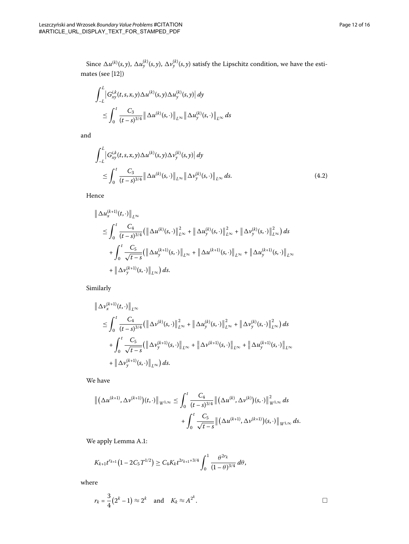Since  $\Delta u^{(k)}(s,y)$ ,  $\Delta u^{(k)}_y(s,y)$ ,  $\Delta v^{(k)}_y(s,y)$  satisfy the Lipschitz condition, we have the estimates (see  $[12]$ )

$$
\int_{-L}^{L} \left| G_{xy}^{i,k}(t,s,x,y) \Delta u^{(k)}(s,y) \Delta u_{y}^{(k)}(s,y) \right| dy
$$
\n
$$
\leq \int_{0}^{t} \frac{C_{3}}{(t-s)^{3/4}} \left\| \Delta u^{(k)}(s,\cdot) \right\|_{L^{\infty}} \left\| \Delta u_{y}^{(k)}(s,\cdot) \right\|_{L^{\infty}} ds
$$

and

$$
\int_{-L}^{L} |G_{xy}^{i,k}(t,s,x,y)\Delta u^{(k)}(s,y)\Delta v_{y}^{(k)}(s,y)| dy \n\leq \int_{0}^{t} \frac{C_{3}}{(t-s)^{3/4}} \left\|\Delta u^{(k)}(s,\cdot)\right\|_{L^{\infty}} \left\|\Delta v_{y}^{(k)}(s,\cdot)\right\|_{L^{\infty}} ds.
$$
\n(4.2)

Hence

$$
\|\Delta u_x^{(k+1)}(t,\cdot)\|_{L^{\infty}}\n\n\leq \int_0^t \frac{C_4}{(t-s)^{3/4}} (\|\Delta u^{(k)}(s,\cdot)\|_{L^{\infty}}^2 + \|\Delta u_y^{(k)}(s,\cdot)\|_{L^{\infty}}^2 + \|\Delta v_y^{(k)}(s,\cdot)\|_{L^{\infty}}^2) ds\n\n+ \int_0^t \frac{C_5}{\sqrt{t-s}} (\|\Delta u_y^{(k+1)}(s,\cdot)\|_{L^{\infty}} + \|\Delta u^{(k+1)}(s,\cdot)\|_{L^{\infty}} + \|\Delta u_y^{(k+1)}(s,\cdot)\|_{L^{\infty}}\n\n+ \|\Delta v_y^{(k+1)}(s,\cdot)\|_{L^{\infty}}) ds.
$$

Similarly

$$
\|\Delta \nu_x^{(k+1)}(t, \cdot)\|_{L^{\infty}}\n\n\leq \int_0^t \frac{C_4}{(t-s)^{3/4}} (\|\Delta \nu^{(k)}(s, \cdot)\|_{L^{\infty}}^2 + \|\Delta u_y^{(k)}(s, \cdot)\|_{L^{\infty}}^2 + \|\Delta \nu_y^{(k)}(s, \cdot)\|_{L^{\infty}}^2) ds\n\n+ \int_0^t \frac{C_5}{\sqrt{t-s}} (\|\Delta \nu_y^{(k+1)}(s, \cdot)\|_{L^{\infty}} + \|\Delta \nu_y^{(k+1)}(s, \cdot)\|_{L^{\infty}} + \|\Delta u_y^{(k+1)}(s, \cdot)\|_{L^{\infty}}\n\n+ \|\Delta \nu_y^{(k+1)}(s, \cdot)\|_{L^{\infty}}) ds.
$$

We have

$$
\|(\Delta u^{(k+1)}, \Delta \nu^{(k+1)})(t, \cdot)\|_{W^{1,\infty}} \leq \int_0^t \frac{C_4}{(t-s)^{3/4}} \|(\Delta u^{(k)}, \Delta \nu^{(k)})(s, \cdot)\|_{W^{1,\infty}}^2 ds + \int_0^t \frac{C_5}{\sqrt{t-s}} \|(\Delta u^{(k+1)}, \Delta \nu^{(k+1)})(s, \cdot)\|_{W^{1,\infty}} ds.
$$

We apply Lemma [A.](#page-13-0)1:

$$
K_{k+1}t^{r_{k+1}}(1-2C_5T^{1/2})\geq C_4K_kt^{2r_{k+1}+3/4}\int_0^1\frac{\theta^{2r_k}}{(1-\theta)^{3/4}}\,d\theta,
$$

where

$$
r_k = \frac{3}{4}(2^k - 1) \approx 2^k \quad \text{and} \quad K_k \approx A^{2^k}.
$$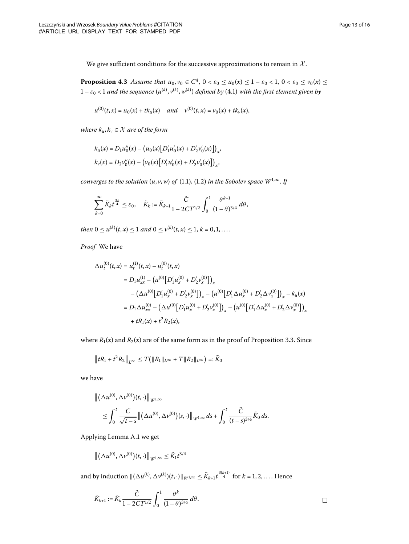We give sufficient conditions for the successive approximations to remain in  $X$ .

**Proposition 4.3** Assume that  $u_0, v_0 \in C^4$ ,  $0 < \varepsilon_0 \le u_0(x) \le 1 - \varepsilon_0 < 1$ ,  $0 < \varepsilon_0 \le v_0(x) \le$  $1-\varepsilon_0 < 1$  and the sequence  $(u^{(k)}, v^{(k)}, w^{(k)})$  defined by (4.1) with the first element given by

$$
u^{(0)}(t,x) = u_0(x) + tk_u(x) \quad and \quad v^{(0)}(t,x) = v_0(x) + tk_v(x),
$$

*where*  $k_u, k_v \in \mathcal{X}$  *are of the form* 

$$
k_u(x) = D_1 u''_0(x) - (u_0(x)[D'_1 u'_0(x) + D'_2 v'_0(x)]_x,
$$
  

$$
k_v(x) = D_2 v''_0(x) - (v_0(x)[D'_1 u'_0(x) + D'_2 v'_0(x)]_x,
$$

*converges to the solution*  $(u, v, w)$  *of*  $(1.1)$  $(1.1)$  $(1.1)$ ,  $(1.2)$  *in the Sobolev space*  $W^{1, \infty}$ *. If* 

$$
\sum_{k=0}^{\infty} \tilde{K}_k t^{\frac{3k}{4}} \leq \varepsilon_0, \quad \tilde{K}_k := \tilde{K}_{k-1} \frac{\tilde{C}}{1 - 2CT^{1/2}} \int_0^1 \frac{\theta^{k-1}}{(1-\theta)^{3/4}} d\theta,
$$

 $then 0 \leq u^{(k)}(t,x) \leq 1 \ and \ 0 \leq v^{(k)}(t,x) \leq 1, k = 0, 1, \ldots.$ 

*Proof* We have

$$
\Delta u_t^{(0)}(t,x) = u_t^{(1)}(t,x) - u_t^{(0)}(t,x)
$$
  
\n
$$
= D_1 u_{xx}^{(1)} - (u^{(0)} [D'_1 u_x^{(0)} + D'_2 v_x^{(0)}])_x
$$
  
\n
$$
- (\Delta u^{(0)} [D'_1 u_x^{(0)} + D'_2 v_x^{(0)}])_x - (u^{(0)} [D'_1 \Delta u_x^{(0)} + D'_2 \Delta v_x^{(0)}])_x - k_u(x)
$$
  
\n
$$
= D_1 \Delta u_{xx}^{(0)} - (\Delta u^{(0)} [D'_1 u_x^{(0)} + D'_2 v_x^{(0)}])_x - (u^{(0)} [D'_1 \Delta u_x^{(0)} + D'_2 \Delta v_x^{(0)}])_x
$$
  
\n
$$
+ tR_1(x) + t^2 R_2(x),
$$

where  $R_1(x)$  and  $R_2(x)$  are of the same form as in the proof of Proposition 3.3. Since

$$
\|tR_1 + t^2 R_2\|_{L^{\infty}} \leq T(|R_1\|_{L^{\infty}} + T \|R_2\|_{L^{\infty}}) =: \tilde{K}_0
$$

we have

$$
\begin{aligned} & \left\| \left( \Delta u^{(0)}, \Delta v^{(0)} \right) (t, \cdot) \right\|_{W^{1,\infty}} \\ & \leq \int_0^t \frac{C}{\sqrt{t-s}} \left\| \left( \Delta u^{(0)}, \Delta v^{(0)} \right) (s, \cdot) \right\|_{W^{1,\infty}} ds + \int_0^t \frac{\tilde{C}}{(t-s)^{3/4}} \tilde{K}_0 ds. \end{aligned}
$$

Applying Lemma [A.](#page-13-0)1 we get

$$
\left\| \big(\Delta u^{(0)}, \Delta \nu^{(0)}\big)(t, \cdot)\right\|_{W^{1,\infty}} \leq \tilde{K}_1 t^{3/4}
$$

and by induction  $\|(\Delta u^{(k)}, \Delta v^{(k)})(t, \cdot)\|_{W^{1,\infty}} \leq \tilde{K}_{k+1} t^{\frac{3(k+1)}{4}}$  for  $k = 1, 2, \ldots$ . Hence

$$
\widetilde{K}_{k+1} := \widetilde{K}_k \frac{\widetilde{C}}{1 - 2CT^{1/2}} \int_0^1 \frac{\theta^k}{(1 - \theta)^{3/4}} d\theta.
$$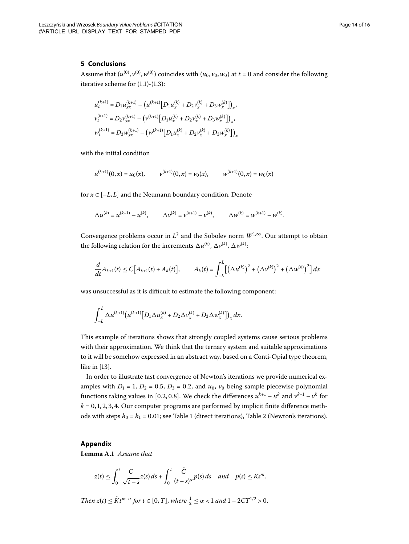#### **5 Conclusions**

Assume that  $(u^{(0)}, v^{(0)}, w^{(0)})$  coincides with  $(u_0, v_0, w_0)$  at  $t = 0$  and consider the following iterative scheme for  $(1.1)-(1.3)$  $(1.1)-(1.3)$  $(1.1)-(1.3)$ :

$$
\begin{split} u_t^{(k+1)} &= D_1 u_{xx}^{(k+1)} - \left( u^{(k+1)} \big[ D_1 u_x^{(k)} + D_2 v_x^{(k)} + D_3 w_x^{(k)} \big] \right)_x, \\ v_t^{(k+1)} &= D_2 v_{xx}^{(k+1)} - \left( v^{(k+1)} \big[ D_1 u_x^{(k)} + D_2 v_x^{(k)} + D_3 w_x^{(k)} \big] \right)_x, \\ w_t^{(k+1)} &= D_3 w_{xx}^{(k+1)} - \left( w^{(k+1)} \big[ D_1 u_x^{(k)} + D_2 v_x^{(k)} + D_3 w_x^{(k)} \big] \right)_x \end{split}
$$

with the initial condition

$$
u^{(k+1)}(0,x) = u_0(x),
$$
  $v^{(k+1)}(0,x) = v_0(x),$   $w^{(k+1)}(0,x) = w_0(x)$ 

for  $x \in [-L, L]$  and the Neumann boundary condition. Denote

$$
\Delta u^{(k)} = u^{(k+1)} - u^{(k)}, \qquad \Delta v^{(k)} = v^{(k+1)} - v^{(k)}, \qquad \Delta w^{(k)} = w^{(k+1)} - w^{(k)}.
$$

Convergence problems occur in  $L^2$  and the Sobolev norm  $W^{1,\infty}$ . Our attempt to obtain the following relation for the increments  $\Delta u^{(k)},\,\Delta v^{(k)},\,\Delta w^{(k)}$ :

$$
\frac{d}{dt}A_{k+1}(t) \leq C[A_{k+1}(t) + A_k(t)], \qquad A_k(t) = \int_{-L}^{L} [(\Delta u^{(k)})^2 + (\Delta v^{(k)})^2 + (\Delta w^{(k)})^2] dx
$$

was unsuccessful as it is difficult to estimate the following component:

$$
\int_{-L}^{L} \Delta u^{(k+1)} \big( u^{(k+1)} \big[ D_1 \Delta u_x^{(k)} + D_2 \Delta v_x^{(k)} + D_3 \Delta w_x^{(k)} \big] \big)_x dx.
$$

This example of iterations shows that strongly coupled systems cause serious problems with their approximation. We think that the ternary system and suitable approximations to it will be somehow expressed in an abstract way, based on a Conti-Opial type theorem, like in  $[13]$  $[13]$ .

<span id="page-13-0"></span>In order to illustrate fast convergence of Newton's iterations we provide numerical examples with  $D_1 = 1$ ,  $D_2 = 0.5$ ,  $D_3 = 0.2$ , and  $u_0$ ,  $v_0$  being sample piecewise polynomial functions taking values in [0.2, 0.8]. We check the differences  $u^{k+1} - u^k$  and  $v^{k+1} - v^k$  for  $k = 0, 1, 2, 3, 4$ . Our computer programs are performed by implicit finite difference methods with steps  $h_0 = h_1 = 0.01$ ; see Table 1 (direct iterations), Table 2 (Newton's iterations).

#### **Appendix**

Lemma A.1 Assume that

$$
z(t) \leq \int_0^t \frac{C}{\sqrt{t-s}} z(s) \, ds + \int_0^t \frac{\tilde{C}}{(t-s)^\alpha} p(s) \, ds \quad \text{and} \quad p(s) \leq K s^m.
$$

*Then*  $z(t) \leq \tilde{K}t^{m+\alpha}$  *for*  $t \in [0, T]$ , where  $\frac{1}{2} \leq \alpha < 1$  and  $1 - 2CT^{1/2} > 0$ .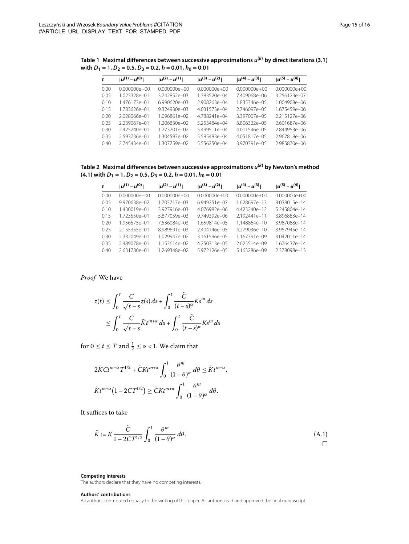|      | $ u^{(1)} - u^{(0)} $ | $ u^{(2)} - u^{(1)} $ | $ u^{(3)} - u^{(2)} $ | $ u^{(4)} - u^{(3)} $ | $ u^{(5)} - u^{(4)} $ |
|------|-----------------------|-----------------------|-----------------------|-----------------------|-----------------------|
| 0.00 | 0.000000e+00          | 0.000000e+00          | 0.000000e+00          | $0.000000e + 00$      | 0.000000e+00          |
| 0.05 | 1.023328e-01          | 3.742852e-03          | 1.383520e-04          | 7.409068e-06          | 3.256123e-07          |
| 010  | 1476173e-01           | 6990620e-03           | 2.908263e-04          | 1.835346e-05          | 1004908e-06           |
| 015  | 1783626e-01           | $9324930e - 03$       | 4031573e-04           | 2746097e-05           | 1.675459e-06          |
| 0.20 | 2028066e-01           | $1096861e - 02$       | 4788241e-04           | 3397007e-05           | 2215127e-06           |
| 0.25 | 2.239067e-01          | 1.206830e-02          | 5253484e-04           | 3806322e-05           | 2601687e-06           |
| 0.30 | 2425240e-01           | 1273201e-02           | 5499511e-04           | 4.011546e-05          | 2844953e-06           |
| 035  | 2593736e-01           | 1.304597e-02          | 5585483e-04           | 4.051817e-05          | 2.967818e-06          |
| 040  | 2745434e-01           | 1307759e-02           | 5.556250e-04          | 3970391e-05           | 2.985870e-06          |

<span id="page-14-0"></span>**Table 1 Maximal differences between successive approximations** *u***(***k***) by direct iterations ([3.1\)](#page-4-0) with** *D***1 = 1,** *D***2 = 0.5,** *D***3 = 0.2,** *h* **= 0.01,** *h***0 = 0.01**

<span id="page-14-1"></span>**Table 2 Maximal differences between successive approximations** *u***(***k***) by Newton's method [\(4.1](#page-8-0)) with** *D***1 = 1,** *D***2 = 0.5,** *D***3 = 0.2,** *h* **= 0.01,** *h***0 = 0.01**

| t    | $ u^{(1)} - u^{(0)} $ | $ u^{(2)} - u^{(1)} $ | $ u^{(3)} - u^{(2)} $ | $ u^{(4)} - u^{(3)} $ | $ u^{(5)} - u^{(4)} $ |
|------|-----------------------|-----------------------|-----------------------|-----------------------|-----------------------|
| 0.00 | $0.000000e + 00$      | $0.000000e + 00$      | $0.000000e + 00$      | $0.000000e + 00$      | $0.000000e + 00$      |
| 0.05 | 9.970638e-02          | 1 703717e-03          | 6.949251e-07          | 1.628697e-13          | 8.038015e-14          |
| 010  | 1.430019e-01          | 3927916e-03           | 4.076982e-06          | 4.423240e-12          | 5.245804e-14          |
| 0.15 | 1.723550e-01          | 5877059e-03           | 9.749392e-06          | 2.192441e-11          | 3.896883e-14          |
| 0.20 | 1956575e-01           | 7.536084e-03          | 1659814e-05           | 1.148864e-10          | 3.987088e-14          |
| 0.25 | 2.155355e-01          | 8989691e-03           | 2.404146e-05          | 4.279036e-10          | 3.957945e-14          |
| 0.30 | 2332049e-01           | 1.029947e-02          | 3.161596e-05          | 1.167791e-09          | 3.042011e-14          |
| 0.35 | 2.489078e-01          | 1.153614e-02          | 4.250313e-05          | $2625514e - 09$       | 1.676437e-14          |
| 0.40 | 2.631780e-01          | 1.269348e-02          | 5.972126e-05          | 5.163286e-09          | 2.378098e-13          |

*Proof* We have

$$
z(t) \le \int_0^t \frac{C}{\sqrt{t-s}} z(s) ds + \int_0^t \frac{\tilde{C}}{(t-s)^\alpha} K s^m ds
$$
  

$$
\le \int_0^t \frac{C}{\sqrt{t-s}} \tilde{K} t^{m+\alpha} ds + \int_0^t \frac{\tilde{C}}{(t-s)^\alpha} K s^m ds
$$

for  $0 \le t \le T$  and  $\frac{1}{2} \le \alpha < 1$ . We claim that

$$
2\tilde{K}Ct^{m+\alpha}T^{1/2} + \tilde{C}Kt^{m+\alpha}\int_0^1 \frac{\theta^m}{(1-\theta)^{\alpha}}\,d\theta \leq \tilde{K}t^{m+\alpha},
$$
  

$$
\tilde{K}t^{m+\alpha}\left(1 - 2CT^{1/2}\right) \geq \tilde{C}Kt^{m+\alpha}\int_0^1 \frac{\theta^m}{(1-\theta)^{\alpha}}\,d\theta.
$$

It suffices to take

$$
\tilde{K} := K \frac{\tilde{C}}{1 - 2CT^{1/2}} \int_0^1 \frac{\theta^m}{(1 - \theta)^\alpha} d\theta.
$$
\n(A.1)

**Competing interests**

The authors declare that they have no competing interests.

#### **Authors' contributions**

All authors contributed equally to the writing of this paper. All authors read and approved the final manuscript.